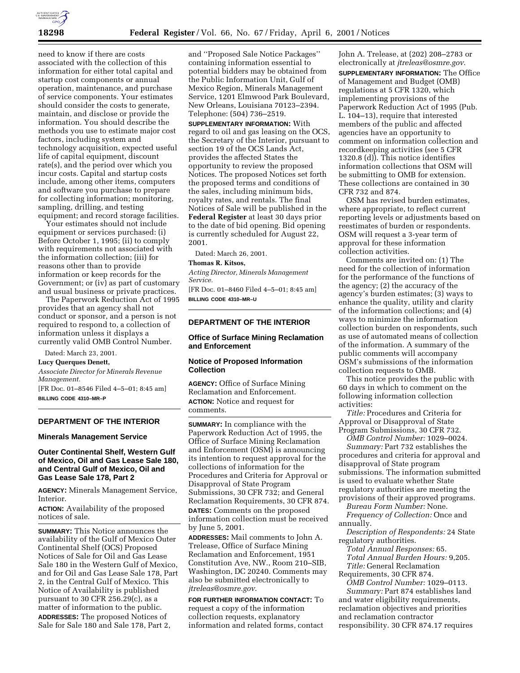

need to know if there are costs associated with the collection of this information for either total capital and startup cost components or annual operation, maintenance, and purchase of service components. Your estimates should consider the costs to generate, maintain, and disclose or provide the information. You should describe the methods you use to estimate major cost factors, including system and technology acquisition, expected useful life of capital equipment, discount rate(s), and the period over which you incur costs. Capital and startup costs include, among other items, computers and software you purchase to prepare for collecting information; monitoring, sampling, drilling, and testing equipment; and record storage facilities.

Your estimates should not include equipment or services purchased: (i) Before October 1, 1995; (ii) to comply with requirements not associated with the information collection; (iii) for reasons other than to provide information or keep records for the Government; or (iv) as part of customary and usual business or private practices.

The Paperwork Reduction Act of 1995 provides that an agency shall not conduct or sponsor, and a person is not required to respond to, a collection of information unless it displays a currently valid OMB Control Number.

Dated: March 23, 2001.

## **Lucy Querques Denett,**

*Associate Director for Minerals Revenue Management.*

[FR Doc. 01–8546 Filed 4–5–01; 8:45 am] **BILLING CODE 4310–MR–P**

## **DEPARTMENT OF THE INTERIOR**

#### **Minerals Management Service**

# **Outer Continental Shelf, Western Gulf of Mexico, Oil and Gas Lease Sale 180, and Central Gulf of Mexico, Oil and Gas Lease Sale 178, Part 2**

**AGENCY:** Minerals Management Service, Interior.

**ACTION:** Availability of the proposed notices of sale.

**SUMMARY:** This Notice announces the availability of the Gulf of Mexico Outer Continental Shelf (OCS) Proposed Notices of Sale for Oil and Gas Lease Sale 180 in the Western Gulf of Mexico, and for Oil and Gas Lease Sale 178, Part 2, in the Central Gulf of Mexico. This Notice of Availability is published pursuant to 30 CFR 256.29(c), as a matter of information to the public. **ADDRESSES:** The proposed Notices of Sale for Sale 180 and Sale 178, Part 2,

and ''Proposed Sale Notice Packages'' containing information essential to potential bidders may be obtained from the Public Information Unit, Gulf of Mexico Region, Minerals Management Service, 1201 Elmwood Park Boulevard, New Orleans, Louisiana 70123–2394. Telephone: (504) 736–2519.

**SUPPLEMENTARY INFORMATION:** With regard to oil and gas leasing on the OCS, the Secretary of the Interior, pursuant to section 19 of the OCS Lands Act, provides the affected States the opportunity to review the proposed Notices. The proposed Notices set forth the proposed terms and conditions of the sales, including minimum bids, royalty rates, and rentals. The final Notices of Sale will be published in the **Federal Register** at least 30 days prior to the date of bid opening. Bid opening is currently scheduled for August 22, 2001.

Dated: March 26, 2001.

#### **Thomas R. Kitsos,**

*Acting Director, Minerals Management Service.*

[FR Doc. 01–8460 Filed 4–5–01; 8:45 am] **BILLING CODE 4310–MR–U**

# **DEPARTMENT OF THE INTERIOR**

# **Office of Surface Mining Reclamation and Enforcement**

# **Notice of Proposed Information Collection**

**AGENCY:** Office of Surface Mining Reclamation and Enforcement. **ACTION:** Notice and request for comments.

**SUMMARY:** In compliance with the Paperwork Reduction Act of 1995, the Office of Surface Mining Reclamation and Enforcement (OSM) is announcing its intention to request approval for the collections of information for the Procedures and Criteria for Approval or Disapproval of State Program Submissions, 30 CFR 732; and General Reclamation Requirements, 30 CFR 874. **DATES:** Comments on the proposed information collection must be received by June 5, 2001.

**ADDRESSES:** Mail comments to John A. Trelease, Office of Surface Mining Reclamation and Enforcement, 1951 Constitution Ave, NW., Room 210–SIB, Washington, DC 20240. Comments may also be submitted electronically to *jtreleas@osmre.gov*.

**FOR FURTHER INFORMATION CONTACT:** To request a copy of the information collection requests, explanatory information and related forms, contact

John A. Trelease, at (202) 208–2783 or electronically at *jtreleas@osmre.gov*.

**SUPPLEMENTARY INFORMATION:** The Office of Management and Budget (OMB) regulations at 5 CFR 1320, which implementing provisions of the Paperwork Reduction Act of 1995 (Pub. L. 104–13), require that interested members of the public and affected agencies have an opportunity to comment on information collection and recordkeeping activities (see 5 CFR 1320.8 (d)). This notice identifies information collections that OSM will be submitting to OMB for extension. These collections are contained in 30 CFR 732 and 874.

OSM has revised burden estimates, where appropriate, to reflect current reporting levels or adjustments based on reestimates of burden or respondents. OSM will request a 3-year term of approval for these information collection activities.

Comments are invited on: (1) The need for the collection of information for the performance of the functions of the agency; (2) the accuracy of the agency's burden estimates; (3) ways to enhance the quality, utility and clarity of the information collections; and (4) ways to minimize the information collection burden on respondents, such as use of automated means of collection of the information. A summary of the public comments will accompany OSM's submissions of the information collection requests to OMB.

This notice provides the public with 60 days in which to comment on the following information collection activities:

*Title:* Procedures and Criteria for Approval or Disapproval of State Program Submissions, 30 CFR 732.

*OMB Control Number:* 1029–0024.

*Summary:* Part 732 establishes the procedures and criteria for approval and disapproval of State program submissions. The information submitted is used to evaluate whether State regulatory authorities are meeting the provisions of their approved programs.

*Bureau Form Number:* None. *Frequency of Collection:* Once and annually.

*Description of Respondents:* 24 State regulatory authorities.

*Total Annual Responses:* 65. *Total Annual Burden Hours:* 9,205.

*Title:* General Reclamation

Requirements, 30 CFR 874.

*OMB Control Number:* 1029–0113. *Summary:* Part 874 establishes land and water eligibility requirements, reclamation objectives and priorities and reclamation contractor responsibility. 30 CFR 874.17 requires